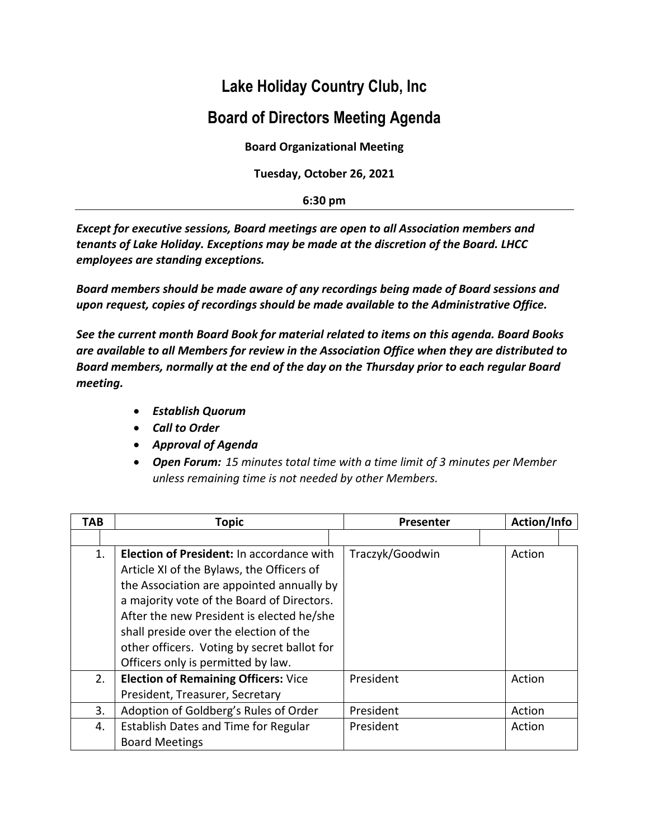## **Lake Holiday Country Club, Inc**

## **Board of Directors Meeting Agenda**

**Board Organizational Meeting**

**Tuesday, October 26, 2021**

**6:30 pm**

*Except for executive sessions, Board meetings are open to all Association members and tenants of Lake Holiday. Exceptions may be made at the discretion of the Board. LHCC employees are standing exceptions.*

*Board members should be made aware of any recordings being made of Board sessions and upon request, copies of recordings should be made available to the Administrative Office.*

*See the current month Board Book for material related to items on this agenda. Board Books are available to all Members for review in the Association Office when they are distributed to Board members, normally at the end of the day on the Thursday prior to each regular Board meeting.*

- *Establish Quorum*
- *Call to Order*
- *Approval of Agenda*
- *Open Forum: 15 minutes total time with a time limit of 3 minutes per Member unless remaining time is not needed by other Members.*

| TAB | <b>Topic</b>                                | Presenter       | Action/Info |
|-----|---------------------------------------------|-----------------|-------------|
|     |                                             |                 |             |
| 1.  | Election of President: In accordance with   | Traczyk/Goodwin | Action      |
|     | Article XI of the Bylaws, the Officers of   |                 |             |
|     | the Association are appointed annually by   |                 |             |
|     | a majority vote of the Board of Directors.  |                 |             |
|     | After the new President is elected he/she   |                 |             |
|     | shall preside over the election of the      |                 |             |
|     | other officers. Voting by secret ballot for |                 |             |
|     | Officers only is permitted by law.          |                 |             |
| 2.  | <b>Election of Remaining Officers: Vice</b> | President       | Action      |
|     | President, Treasurer, Secretary             |                 |             |
| 3.  | Adoption of Goldberg's Rules of Order       | President       | Action      |
| 4.  | Establish Dates and Time for Regular        | President       | Action      |
|     | <b>Board Meetings</b>                       |                 |             |